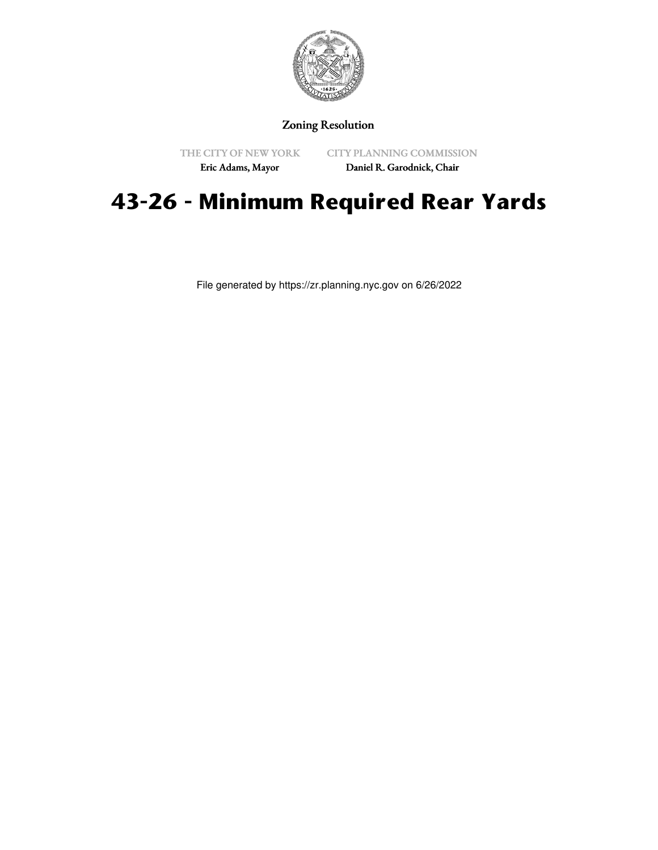

## Zoning Resolution

THE CITY OF NEW YORK Eric Adams, Mayor

CITY PLANNING COMMISSION

Daniel R. Garodnick, Chair

# **43-26 - Minimum Required Rear Yards**

File generated by https://zr.planning.nyc.gov on 6/26/2022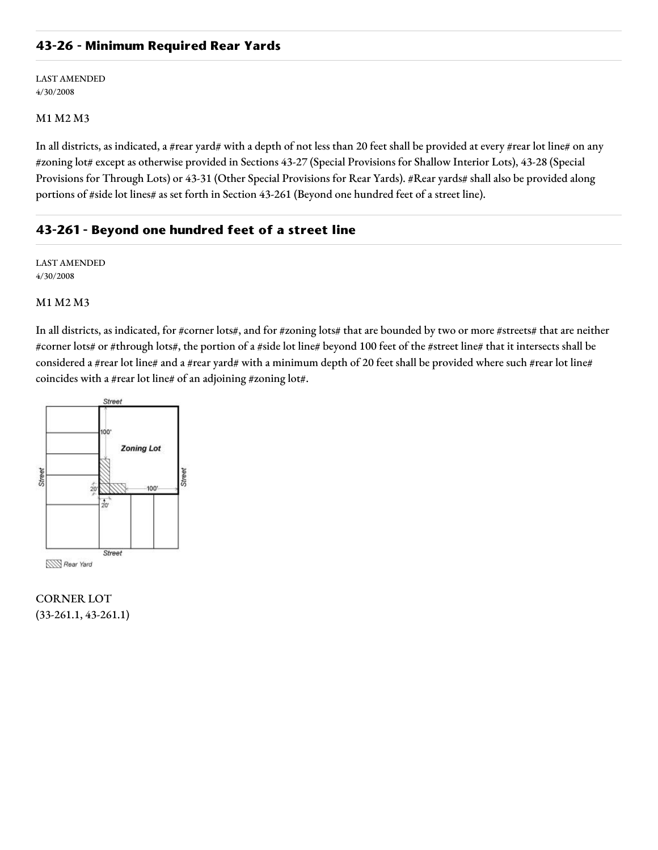## **43-26 - Minimum Required Rear Yards**

LAST AMENDED 4/30/2008

#### M1 M2 M3

In all districts, as indicated, a #rear yard# with a depth of not less than 20 feet shall be provided at every #rear lot line# on any #zoning lot# except as otherwise provided in Sections 43-27 (Special Provisions for Shallow Interior Lots), 43-28 (Special Provisions for Through Lots) or 43-31 (Other Special Provisions for Rear Yards). #Rear yards# shall also be provided along portions of #side lot lines# as set forth in Section 43-261 (Beyond one hundred feet of a street line).

## **43-261 - Beyond one hundred feet of a street line**

LAST AMENDED 4/30/2008

#### M1 M2 M3

In all districts, as indicated, for #corner lots#, and for #zoning lots# that are bounded by two or more #streets# that are neither #corner lots# or #through lots#, the portion of a #side lot line# beyond 100 feet of the #street line# that it intersects shall be considered a #rear lot line# and a #rear yard# with a minimum depth of 20 feet shall be provided where such #rear lot line# coincides with a #rear lot line# of an adjoining #zoning lot#.



CORNER LOT (33-261.1, 43-261.1)